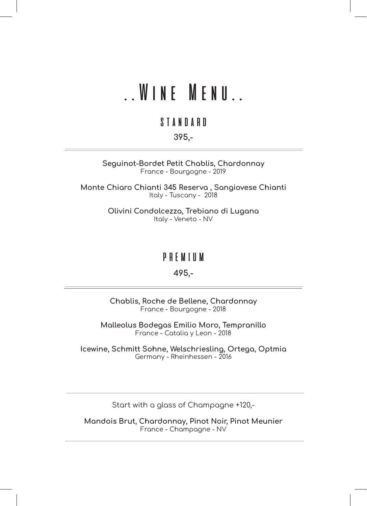#### ..Wine Menu..

#### standard

#### 395,-

Seguinot-Bordet Petit Chablis, Chardonnay France - Bourgogne - 2019

Monte Chiaro Chianti 345 Reserva , Sangiovese Chianti Italy - Tuscany - 2018

> Olivini Condolcezza, Trebiano di Lugana Italy - Veneto - NV

#### premium

#### 495,-

Chablis, Roche de Bellene, Chardonnay France - Bourgogne - 2018

Malleolus Bodegas Emilio Moro, Tempranillo France - Catalia y Leon - 2018

Icewine, Schmitt Sohne, Welschriesling, Ortega, Optmia Germany - Rheinhessen - 2016

Start with a glass of Champagne +120,-

Mandois Brut, Chardonnay, Pinot Noir, Pinot Meunier France - Champagne - NV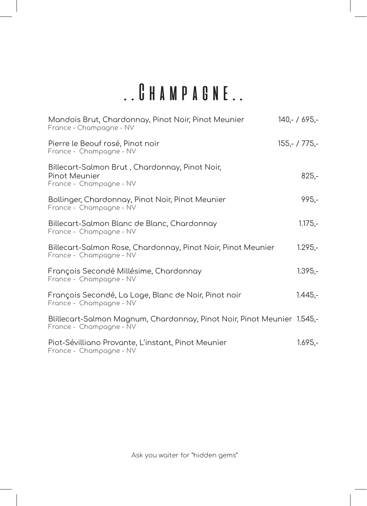### ..Champagne..

| Mandois Brut, Chardonnay, Pinot Noir, Pinot Meunier<br>France - Champagne - NV                     | $140 - 7695 -$  |
|----------------------------------------------------------------------------------------------------|-----------------|
| Pierre le Beouf rosé, Pinot noir<br>France - Champagne - NV                                        | $155,- / 775,-$ |
| Billecart-Salmon Brut, Chardonnay, Pinot Noir,<br>Pinot Meunier<br>France - Champagne - NV         | $825,-$         |
| Bollinger, Chardonnay, Pinot Noir, Pinot Meunier<br>France - Champagne - NV                        | $995 -$         |
| Billecart-Salmon Blanc de Blanc, Chardonnay<br>France - Champagne - NV                             | $1.175,-$       |
| Billecart-Salmon Rose, Chardonnay, Pinot Noir, Pinot Meunier<br>France - Champagne - NV            | $1.295 -$       |
| François Secondé Millésime, Chardonnay<br>France - Champagne - NV                                  | $1.395 -$       |
| François Secondé, La Loge, Blanc de Noir, Pinot noir<br>France - Champagne - NV                    | $1.445,-$       |
| Blillecart-Salmon Magnum, Chardonnay, Pinot Noir, Pinot Meunier 1.545,-<br>France - Champagne - NV |                 |
| Piot-Sévilliano Provante, L'instant, Pinot Meunier<br>France - Champagne - NV                      | $1.695,-$       |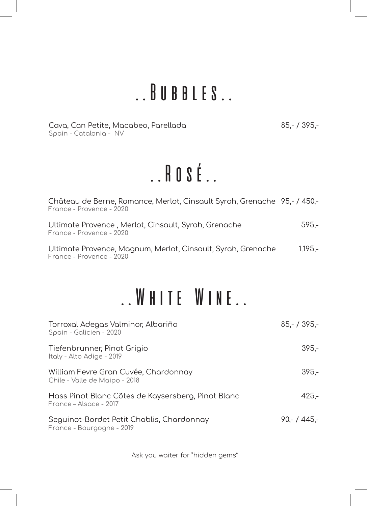### ..Bubbles..

Cava, Can Petite, Macabeo, Parellada 65,- / 395,-Spain - Catalonia - NV

# ..Rosé..

| Château de Berne, Romance, Merlot, Cinsault Syrah, Grenache 95,- / 450,-<br>France - Provence - 2020 |           |
|------------------------------------------------------------------------------------------------------|-----------|
| Ultimate Provence, Merlot, Cinsault, Syrah, Grenache<br>France - Provence - 2020                     | 595.-     |
| Ultimate Provence, Magnum, Merlot, Cinsault, Syrah, Grenache<br>France - Provence - 2020             | $1.195 -$ |

### ..White Wine..

| Torroxal Adegas Valminor, Albariño<br>Spain - Galicien - 2020                | $85 - 7395 -$ |
|------------------------------------------------------------------------------|---------------|
| Tiefenbrunner, Pinot Grigio<br>Italy - Alto Adige - 2019                     | $395 -$       |
| William Fevre Gran Cuvée, Chardonnay<br>Chile - Valle de Maipo - 2018        | $395 -$       |
| Hass Pinot Blanc Cötes de Kaysersberg, Pinot Blanc<br>France – Alsace - 2017 | $425 -$       |
| Seguinot-Bordet Petit Chablis, Chardonnay<br>France - Bourgogne - 2019       | $90 - 445 -$  |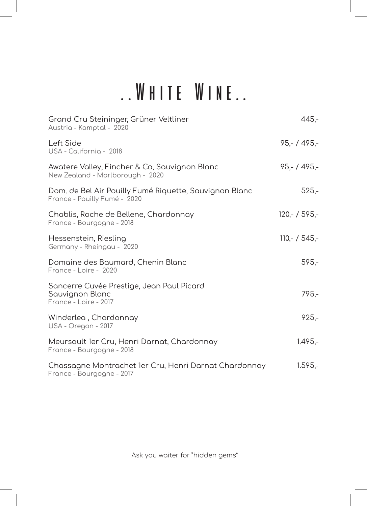# ..White Wine..

| Grand Cru Steininger, Grüner Veltliner<br>Austria - Kamptal - 2020                     | $445 -$        |
|----------------------------------------------------------------------------------------|----------------|
| Left Side<br>USA - California - 2018                                                   | $95,- / 495,-$ |
| Awatere Valley, Fincher & Co, Sauvignon Blanc<br>New Zealand - Marlborough - 2020      | $95,- / 495,-$ |
| Dom. de Bel Air Pouilly Fumé Riquette, Sauvignon Blanc<br>France - Pouilly Fumé - 2020 | $525,-$        |
| Chablis, Roche de Bellene, Chardonnay<br>France - Bourgogne - 2018                     | $120 - 7595 -$ |
| Hessenstein, Riesling<br>Germany - Rheingau - 2020                                     | $110 - 7545 -$ |
| Domaine des Baumard, Chenin Blanc<br>France - Loire - 2020                             | $595 -$        |
| Sancerre Cuvée Prestige, Jean Paul Picard<br>Sauvignon Blanc<br>France - Loire - 2017  | 795.-          |
| Winderlea, Chardonnay<br>USA - Oregon - 2017                                           | $925 -$        |
| Meursault 1er Cru, Henri Darnat, Chardonnay<br>France - Bourgogne - 2018               | $1.495 -$      |
| Chassagne Montrachet 1er Cru, Henri Darnat Chardonnay<br>France - Bourgogne - 2017     | $1.595,-$      |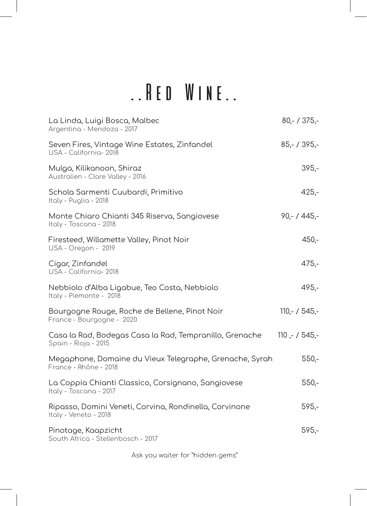## ..Red Wine..

| La Linda, Luigi Bosca, Malbec<br>Argentina - Mendoza - 2017                      | $80 - 7375 -$   |
|----------------------------------------------------------------------------------|-----------------|
| Seven Fires, Vintage Wine Estates, Zinfandel<br>USA - California - 2018          | $85 - 7395 -$   |
| Mulga, Kilikanoon, Shiraz<br>Australien - Clare Valley - 2016                    | $395 -$         |
| Schola Sarmenti Cuubardi, Primitivo<br>Italy - Puglia - 2018                     | $425 -$         |
| Monte Chiaro Chianti 345 Riserva, Sangiovese<br>Italy - Toscana - 2018           | $90 - 445 -$    |
| Firesteed, Willamette Valley, Pinot Noir<br>USA - Oregon - 2019                  | $450 -$         |
| Cigar, Zinfandel<br>USA - California-2018                                        | $475,-$         |
| Nebbiolo d'Alba Ligabue, Teo Costa, Nebbiolo<br>Italy - Piemonte - 2018          | $495 -$         |
| Bourgogne Rouge, Roche de Bellene, Pinot Noir<br>France - Bourgogne - 2020       | $110,- / 545,-$ |
| Casa la Rad, Bodegas Casa la Rad, Tempranillo, Grenache<br>Spain - Rioja - 2015  | $110 - 7545 -$  |
| Megaphone, Domaine du Vieux Telegraphe, Grenache, Syrah<br>France - Rhône - 2018 | $550 -$         |
| La Coppia Chianti Classico, Corsignano, Sangiovese<br>Italy - Toscana - 2017     | $550 -$         |
| Ripasso, Domini Veneti, Corvina, Rondinella, Corvinone<br>Italy - Veneto - 2018  | $595 -$         |
| Pinotage, Kaapzicht<br>South Africa - Stellenbosch - 2017                        | $595 -$         |
|                                                                                  |                 |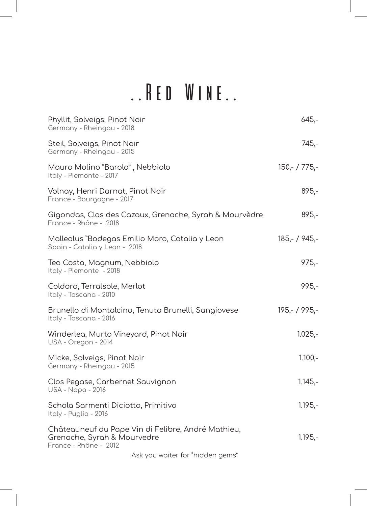# ..Red Wine..

| Phyllit, Solveigs, Pinot Noir<br>Germany - Rheingau - 2018                                                 | $645 -$        |
|------------------------------------------------------------------------------------------------------------|----------------|
| Steil, Solveigs, Pinot Noir<br>Germany - Rheingau - 2015                                                   | 745,-          |
| Mauro Molino "Barolo", Nebbiolo<br>Italy - Piemonte - 2017                                                 | $150 - 775 -$  |
| Volnay, Henri Darnat, Pinot Noir<br>France - Bourgogne - 2017                                              | $895 -$        |
| Gigondas, Clos des Cazaux, Grenache, Syrah & Mourvèdre<br>France - Rhône - 2018                            | $895 -$        |
| Malleolus "Bodegas Emilio Moro, Catalia y Leon<br>Spain - Catalia y Leon - 2018                            | $185 - 7945 -$ |
| Teo Costa, Magnum, Nebbiolo<br>Italy - Piemonte - 2018                                                     | $975 -$        |
| Coldoro, Terralsole, Merlot<br>Italy - Toscana - 2010                                                      | $995,-$        |
| Brunello di Montalcino, Tenuta Brunelli, Sangiovese<br>Italy - Toscana - 2016                              | $195 - 7995 -$ |
| Winderlea, Murto Vineyard, Pinot Noir<br>USA - Oregon - 2014                                               | $1.025,-$      |
| Micke, Solveigs, Pinot Noir<br>Germany - Rheingau - 2015                                                   | $1.100,-$      |
| Clos Pegase, Carbernet Sauvignon<br>USA - Napa - 2016                                                      | $1.145,-$      |
| Schola Sarmenti Diciotto, Primitivo<br>Italy - Puglia - 2016                                               | $1.195 -$      |
| Châteauneuf du Pape Vin di Felibre, André Mathieu,<br>Grenache, Syrah & Mourvedre<br>France - Rhône - 2012 | $1.195 -$      |
| Ask you waiter for "hidden gems"                                                                           |                |